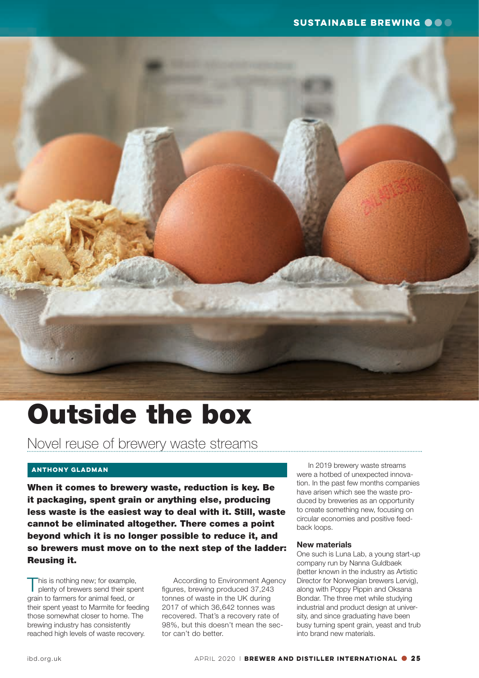

# Outside the box

Novel reuse of brewery waste streams

### **ANTHONY GLADMAN**

When it comes to brewery waste, reduction is key. Be it packaging, spent grain or anything else, producing less waste is the easiest way to deal with it. Still, waste cannot be eliminated altogether. There comes a point beyond which it is no longer possible to reduce it, and so brewers must move on to the next step of the ladder: Reusing it.

This is nothing new; for example,<br>plenty of brewers send their spent grain to farmers for animal feed, or their spent yeast to Marmite for feeding those somewhat closer to home. The brewing industry has consistently reached high levels of waste recovery.

 According to Environment Agency figures, brewing produced 37,243 tonnes of waste in the UK during 2017 of which 36,642 tonnes was recovered. That's a recovery rate of 98%, but this doesn't mean the sector can't do better.

 In 2019 brewery waste streams were a hotbed of unexpected innovation. In the past few months companies have arisen which see the waste produced by breweries as an opportunity to create something new, focusing on circular economies and positive feedback loops.

#### New materials

One such is Luna Lab, a young start-up company run by Nanna Guldbaek (better known in the industry as Artistic Director for Norwegian brewers Lervig), along with Poppy Pippin and Oksana Bondar. The three met while studying industrial and product design at university, and since graduating have been busy turning spent grain, yeast and trub into brand new materials.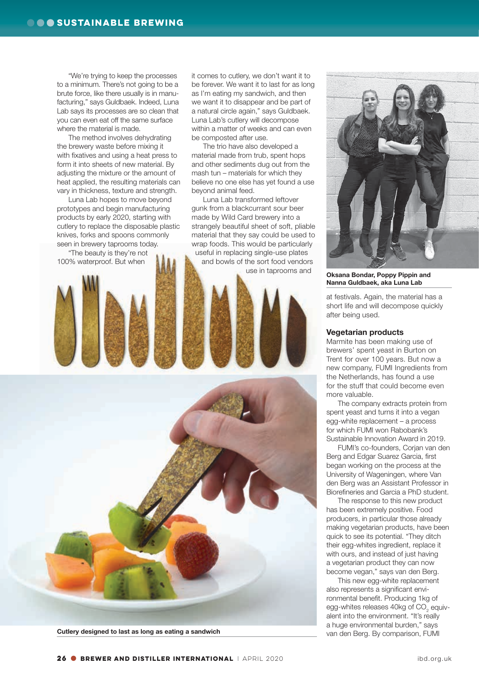"We're trying to keep the processes to a minimum. There's not going to be a brute force, like there usually is in manufacturing," says Guldbaek. Indeed, Luna Lab says its processes are so clean that you can even eat off the same surface where the material is made.

 The method involves dehydrating the brewery waste before mixing it with fixatives and using a heat press to form it into sheets of new material. By adjusting the mixture or the amount of heat applied, the resulting materials can vary in thickness, texture and strength.

 Luna Lab hopes to move beyond prototypes and begin manufacturing products by early 2020, starting with cutlery to replace the disposable plastic knives, forks and spoons commonly seen in brewery taprooms today.

 "The beauty is they're not 100% waterproof. But when

it comes to cutlery, we don't want it to be forever. We want it to last for as long as I'm eating my sandwich, and then we want it to disappear and be part of a natural circle again," says Guldbaek. Luna Lab's cutlery will decompose within a matter of weeks and can even be composted after use.

 The trio have also developed a material made from trub, spent hops and other sediments dug out from the mash tun – materials for which they believe no one else has yet found a use beyond animal feed.

 Luna Lab transformed leftover gunk from a blackcurrant sour beer made by Wild Card brewery into a strangely beautiful sheet of soft, pliable material that they say could be used to wrap foods. This would be particularly useful in replacing single-use plates and bowls of the sort food vendors

use in taprooms and





Oksana Bondar, Poppy Pippin and Nanna Guldbaek, aka Luna Lab

at festivals. Again, the material has a short life and will decompose quickly after being used.

#### Vegetarian products

Marmite has been making use of brewers' spent yeast in Burton on Trent for over 100 years. But now a new company, FUMI Ingredients from the Netherlands, has found a use for the stuff that could become even more valuable.

 The company extracts protein from spent yeast and turns it into a vegan egg-white replacement – a process for which FUMI won Rabobank's Sustainable Innovation Award in 2019.

 FUMI's co-founders, Corjan van den Berg and Edgar Suarez Garcia, first began working on the process at the University of Wageningen, where Van den Berg was an Assistant Professor in Biorefineries and Garcia a PhD student.

 The response to this new product has been extremely positive. Food producers, in particular those already making vegetarian products, have been quick to see its potential. "They ditch their egg-whites ingredient, replace it with ours, and instead of just having a vegetarian product they can now become vegan," says van den Berg.

 This new egg-white replacement also represents a significant environmental benefit. Producing 1kg of egg-whites releases 40kg of CO<sub>2</sub> equivalent into the environment. "It's really a huge environmental burden," says